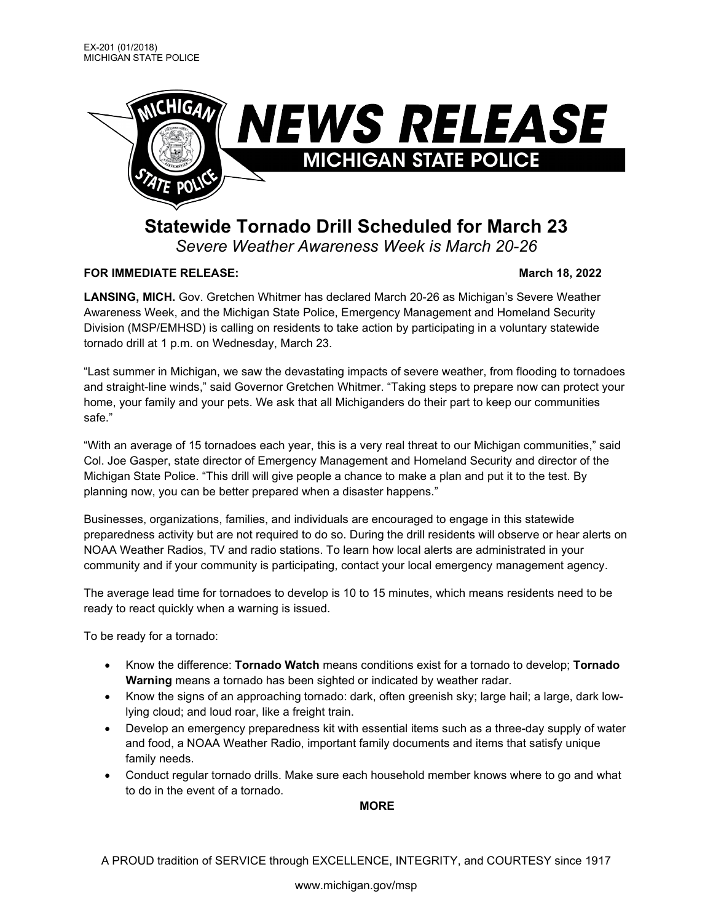

## **Statewide Tornado Drill Scheduled for March 23** *Severe Weather Awareness Week is March 20-26*

## **FOR IMMEDIATE RELEASE:** March 18, 2022

**LANSING, MICH.** Gov. Gretchen Whitmer has declared March 20-26 as Michigan's Severe Weather Awareness Week, and the Michigan State Police, Emergency Management and Homeland Security Division (MSP/EMHSD) is calling on residents to take action by participating in a voluntary statewide tornado drill at 1 p.m. on Wednesday, March 23.

"Last summer in Michigan, we saw the devastating impacts of severe weather, from flooding to tornadoes and straight-line winds," said Governor Gretchen Whitmer. "Taking steps to prepare now can protect your home, your family and your pets. We ask that all Michiganders do their part to keep our communities safe."

"With an average of 15 tornadoes each year, this is a very real threat to our Michigan communities," said Col. Joe Gasper, state director of Emergency Management and Homeland Security and director of the Michigan State Police. "This drill will give people a chance to make a plan and put it to the test. By planning now, you can be better prepared when a disaster happens."

Businesses, organizations, families, and individuals are encouraged to engage in this statewide preparedness activity but are not required to do so. During the drill residents will observe or hear alerts on NOAA Weather Radios, TV and radio stations. To learn how local alerts are administrated in your community and if your community is participating, contact your local emergency management agency.

The average lead time for tornadoes to develop is 10 to 15 minutes, which means residents need to be ready to react quickly when a warning is issued.

To be ready for a tornado:

- Know the difference: **Tornado Watch** means conditions exist for a tornado to develop; **Tornado Warning** means a tornado has been sighted or indicated by weather radar.
- Know the signs of an approaching tornado: dark, often greenish sky; large hail; a large, dark lowlying cloud; and loud roar, like a freight train.
- Develop an emergency preparedness kit with essential items such as a three-day supply of water and food, a NOAA Weather Radio, important family documents and items that satisfy unique family needs.
- Conduct regular tornado drills. Make sure each household member knows where to go and what to do in the event of a tornado.

**MORE**

A PROUD tradition of SERVICE through EXCELLENCE, INTEGRITY, and COURTESY since 1917